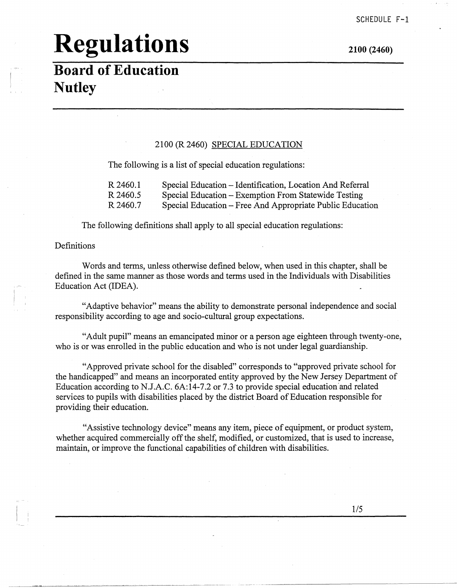**2100 (2460)** 

#### **Board of Education Nutley**

#### 2100 (R 2460) SPECIAL EDUCATION

The following is a list of special education regulations:

| R 2460.1 | Special Education – Identification, Location And Referral |
|----------|-----------------------------------------------------------|
| R 2460.5 | Special Education – Exemption From Statewide Testing      |
| R 2460.7 | Special Education – Free And Appropriate Public Education |

The following definitions shall apply to all special education regulations:

#### Definitions

Words and terms, unless otherwise defined below, when used in this chapter, shall be defined in the same manner as those words and terms used in the Individuals with Disabilities Education Act (IDEA).

"Adaptive behavior" means the ability to demonstrate personal independence and social responsibility according to age and socio-cultural group expectations.

"Adult pupil" means an emancipated minor or a person age eighteen through twenty-one, who is or was enrolled in the public education and who is not under legal guardianship.

"Approved private school for the disabled" corresponds to "approved private school for the handicapped" and means an incorporated entity approved by the New Jersey Department of Education according to N.J.A.C. 6A:14-7.2 or 7.3 to provide special education and related services to pupils with disabilities placed by the district Board of Education responsible for providing their education.

"Assistive technology device" means any item, piece of equipment, or product system, whether acquired commercially off the shelf, modified, or customized, that is used to increase, maintain, or improve the functional capabilities of children with disabilities.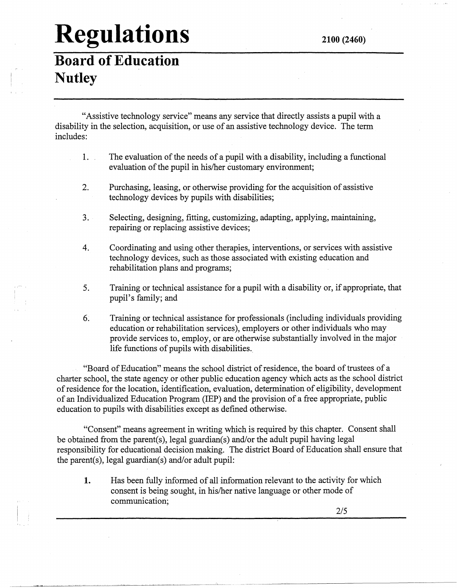**Board of Education Nutley** 

"Assistive technology service" means any service that directly assists a pupil with a disability in the selection, acquisition, or use of an assistive technology device. The term includes:

- 1. The evaluation of the needs of a pupil with a disability, including a functional evaluation of the pupil in his/her customary environment;
- 2. Purchasing, leasing, or otherwise providing for the acquisition of assistive technology devices by pupils with disabilities;
- 3. Selecting, designing, fitting, customizing, adapting, applying, maintaining, repairing or replacing assistive devices;
- 4. Coordinating and using other therapies, interventions, or services with assistive technology devices, such as those associated with existing education and rehabilitation plans and programs;
- 5. Training or technical assistance for a pupil with a disability or, if appropriate, that pupil's family; and
- 6. Training or technical assistance for professionals (including individuals providing education or rehabilitation services), employers or other individuals who may provide services to, employ, or are otherwise substantially involved in the major life functions of pupils with disabilities ..

"Board of Education" means the school district of residence, the board of trustees of a charter school, the state agency or other public education agency which acts as the school district of residence for the location, identification, evaluation, determination of eligibility, development of an Individualized Education Program (IEP) and the provision of a free appropriate, public education to pupils with disabilities except as defined otherwise.

"Consent" means agreement in writing which is required by this chapter. Consent shall be obtained from the parent(s), legal guardian(s) and/or the adult pupil having legal responsibility for educational decision making. The district Board of Education shall ensure that the parent(s), legal guardian(s) and/or adult pupil:

**1.** Has been fully informed of all information relevant to the activity for which consent is being sought, in his/her native language or other mode of communication;

-- ------·--------'------------------~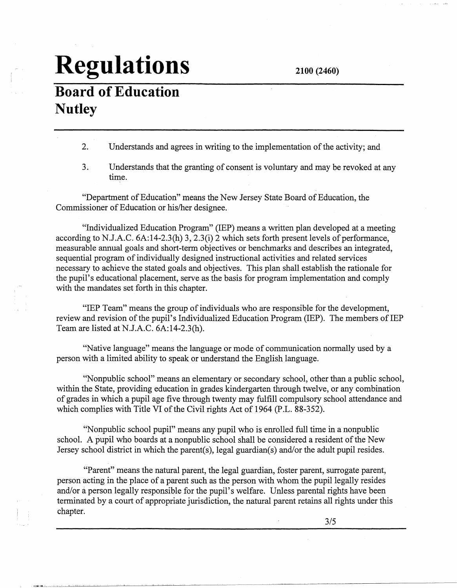### **Board of Education Nutley**

2. Understands and agrees in writing to the implementation of the activity; and

3. Understands that the granting of consent is voluntary and may be revoked at any time.

"Department of Education" means the New Jersey State Board of Education, the Commissioner of Education or his/her designee.

"Individualized Education Program" (IEP) means a written plan developed at a meeting according to N.J.A.C. 6A:14-2.3(h) 3, 2.3(i) 2 which sets forth present levels of performance, measurable annual goals and short-term objectives or benchmarks and describes an integrated, sequential program of individually designed instructional activities and related services necessary to achieve the stated goals and objectives. This plan shall establish the rationale for the pupil's educational placement, serve as the basis for program implementation and comply with the mandates set forth in this chapter.

"IEP Team" means the group of individuals who are responsible for the development, review and revision of the pupil's Individualized Education Program (IEP). The members of IEP Team are listed at N.J.A.C. 6A:14-2.3(h).

"Native language" means the language or mode of communication normally used by a person with a limited ability to speak or understand the English language.

''Nonpublic school" means an elementary or secondary school, other than a public school, within the State, providing education in grades kindergarten through twelve, or any combination of grades in which a pupil age five through twenty may fulfill compulsory school attendance and which complies with Title VI of the Civil rights Act of 1964 (P.L. 88-352).

"Nonpublic school pupil" means any pupil who is enrolled full time in a nonpublic school. A pupil who boards at a nonpublic school shall be considered a resident of the New Jersey school district in which the parent(s), legal guardian(s) and/or the adult pupil resides.

"Parent" means the natural parent, the legal guardian, foster parent, surrogate parent, person acting in the place of a parent such as the person with whom the pupil legally resides and/or a person legally responsible for the pupil's welfare. Unless parental rights have been terminated by a court of appropriate jurisdiction, the natural parent retains all rights under this chapter.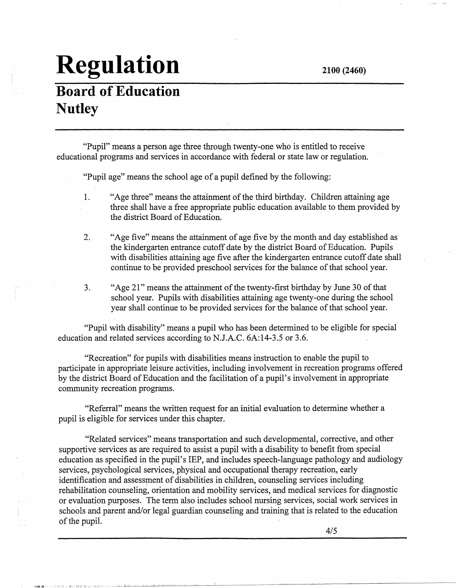### **Board of Education Nutley**

llight in the collection of the collection of the collection of the collection of the collection of the collection of

"Pupil" means a person age three through twenty-one who is entitled to receive educational programs and services in accordance with federal or state law or regulation.

"Pupil age" means the school age of a pupil defined by the following:

- I. "Age three" means the attainment of the third birthday. Children attaining age three shall have a free appropriate public education available to them provided by the district Board of Education.
- 2. "Age five" means the attainment of age five by the month and day established as the kindergarten entrance cutoff date by the district Board of Education. Pupils with disabilities attaining age five after the kindergarten entrance cutoff date shall continue to be provided preschool services for the balance of that school year.
- 3. "Age 21" means the attainment of the twenty-first birthday by June 30 of that school year. Pupils with disabilities attaining age twenty-one during the school year shall continue to be provided services for the balance of that school year.

"Pupil with disability" means a pupil who has been determined to be eligible for special education and related services according to N.J.A.C. 6A:14-3.5 or 3.6.

"Recreation" for pupils with disabilities means instruction to enable the pupil to participate in appropriate leisure activities, including involvement in recreation programs offered by the district Board of Education and the facilitation of a pupil's involvement in appropriate community recreation programs.

"Referral" means the written request for an initial evaluation to determine whether a pupil is eligible for services under this chapter.

"Related services" means transportation and such developmental, corrective, and other supportive services as are required to assist a pupil with a disability to benefit from special education as specified in the pupil's IEP, and includes speech-language pathology and audiology services, psychological services, physical and occupational therapy recreation, early identification and assessment of disabilities in children, counseling services including rehabilitation counseling, orientation and mobility services, and medical services for diagnostic or evaluation purposes. The term also includes school nursing services, social work services in schools and parent and/or legal guardian counseling and training that is related to the education of the pupil.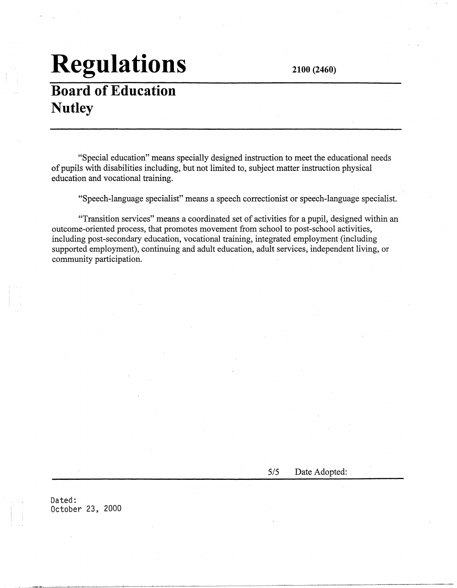**2100 (2460)** 

### **Board of Education Nutley**

"Special education" means specially designed instruction to meet the educational needs of pupils with disabilities including, but not limited to, subject matter instruction physical education and vocational training.

"Speech-language specialist" means a speech correctionist or speech-language specialist.

"Transition services" means a coordinated set of activities for a pupil, designed within an outcome-oriented process, that promotes movement from school to post-school activities, including post-secondary education, vocational training, integrated employment (including supported employment), continuing and adult education, adult services, independent living, or community participation.

5/5 Date Adopted:

Dated: October 23, 2000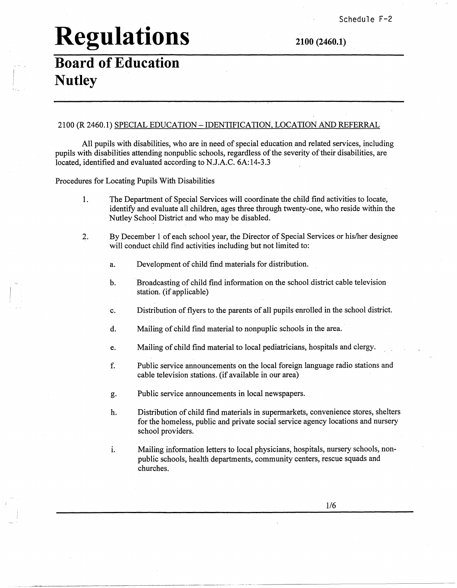### **Board of Education Nutley**

2100 (R 2460.1) SPECIAL EDUCATION -IDENTIFICATION, LOCATION AND REFERRAL

All pupils with disabilities, who are in need of special education and related services, including pupils with disabilities attending nonpublic schools, regardless of the severity of their disabilities, are located, identified and evaluated according to NJ.AC. 6A:14-3.3

Procedures for Locating Pupils With Disabilities

- 1. The Department of Special Services will coordinate the child find activities to locate, identify and evaluate all children, ages three through twenty-one, who reside within the Nutley School District and who may be disabled.
- 2. By December 1 of each school year, the Director of Special Services or his/her designee will conduct child find activities including but not limited to:
	- a. Development of child find materials for distribution.
	- b. · Broadcasting of child find information on the school district cable television station. (if applicable)
	- c. Distribution of flyers to the parents of all pupils enrolled in the school district.
	- d. Mailing of child find material to nonpuplic schools in the area.
	- e. Mailing of child find material to local pediatricians, hospitals and clergy.
	- f. Public service announcements on the local foreign language radio stations and cable television stations. (if available in our area)
	- g. Public service announcements in local newspapers.
	- h. Distribution of child find materials in supermarkets, convenience stores, shelters for the homeless, public and private social service agency locations and nursery school providers.
	- i. Mailing information letters to local physicians, hospitals, nursery schools, nonpublic schools, health departments, community centers, rescue squads and churches.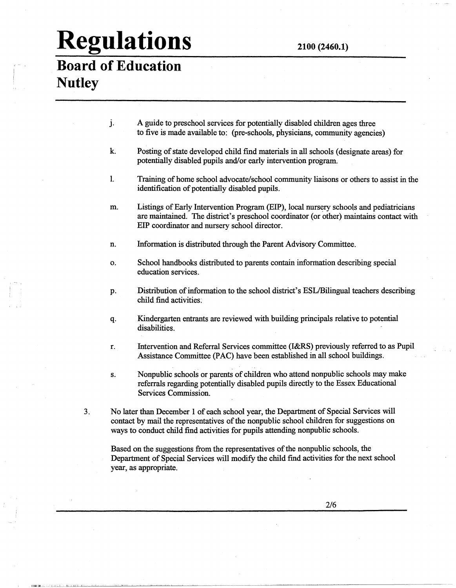#### **Board of Education Nutley**

- j. A guide to preschool services for potentially disabled children ages three to five is made available to: (pre-schools, physicians, community agencies)
- k. Posting of state developed child find materials in all schools ( designate areas) for potentially disabled pupils and/or early intervention program.
- 1. Training of home school advocate/school community liaisons or others to assist in the identification of potentially disabled pupils.
- m. Listings of Early Intervention Program (EIP), local nursery schools and pediatricians are maintained. The district's preschool coordinator (or other) maintains contact with EIP coordinator and nursery school director.
- n. Information is distributed through the Parent Advisory Committee.
- o. School handbooks distributed to parents contain information describing special education services.
- p. Distribution of information to the school district's ESL/Bilingual teachers describing child find activities:
- q. Kindergarten entrants are reviewed with building principals relative to potential disabilities.
- r. Intervention and Referral Services committee **(l&RS)** previously referred to as Pupil Assistance Committee (PAC) have been established in all school buildings.
- s. Nonpublic schools or parents of children who attend nonpublic schools may make referrals regarding potentially disabled pupils directly to the Essex Educational Services Commission.
- 3. No later than December I of each school year, the Department of Special Services will contact by mail the representatives of the nonpublic school children for suggestions on ways to conduct child find activities for pupils attending nonpublic schools.

Based on the suggestions from the representatives of the nonpublic schools, the Department of Special Services will modify the child find activities for the next school year, as appropriate.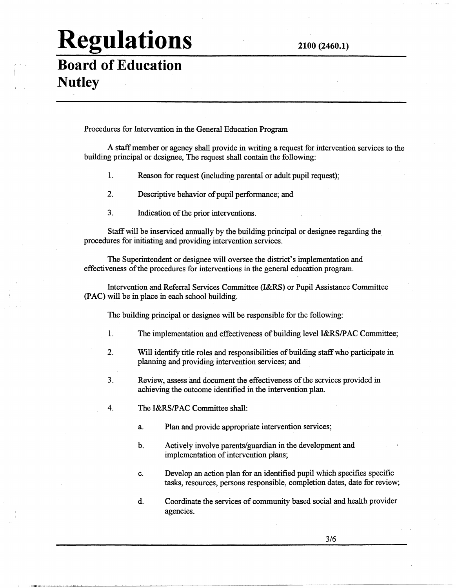#### **Board of Education Nutley**

Procedures for Intervention in the General Education Program

A staff member or agency shall provide in writing a request for intervention services to the building principal or designee, The request shall contain the following:

- 1. Reason for request (including parental or adult pupil request);
- 2. Descriptive behavior of pupil performance; and
- 3. Indication of the prior interventions.

Staff will be inserviced annually by the building principal or designee regarding the procedures for initiating and providing intervention services.

The Superintendent or designee will oversee the district's implementation and effectiveness of the procedures for interventions in the general education program.

Intervention and Referral Services Committee **(I&RS)** or Pupil Assistance Committee **(PAC) will** be in place in each school building.

The building principal or designee will be responsible for the following:

- 1. The implementation and effectiveness of building level I&RS/PAC Committee;
- 2. Will identify title roles and responsibilities of building staff who participate in planning and providing intervention services; and
- 3. Review, assess and document the effectiveness of the services provided in achieving the outcome identified in the intervention plan.
- 4. The I&RS/PAC Committee shall:
	- a. Plan and provide appropriate intervention services;
	- b. Actively involve parents/guardian in the development and implementation of intervention plans;
	- c. Develop an action plan for an identified pupil which specifies specific tasks, resources, persons responsible, completion dates, date for review;
	- d. Coordinate the services of community based social and health provider agencies.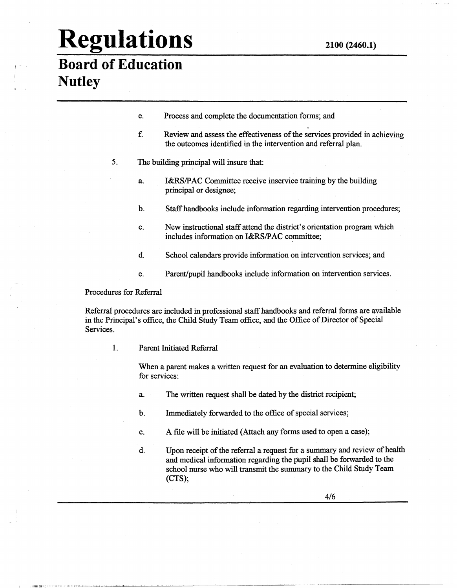#### **Board of Education Nutley**

- e. Process and complete the documentation forms; and
- f. Review and assess the effectiveness of the services provided in achieving the outcomes identified in the intervention and referral plan.
- 5. The building principal will insure that:
	- a. I&RS/PAC Committee receive inservice training by the building principal or designee;
	- b. Staff handbooks include information regarding intervention procedures;
	- c. New instructional staff attend the district's orientation program which includes information on I&RS/PAC committee;
	- d. School calendars provide information on intervention services; and
	- e. Parent/pupil handbooks include information on intervention services.

Procedures for Referral

IIIUl~Jllll • I. Jl;:\_t. \_\_\_ 11 \_\_ ;.11,L . .:\_.L. \_\_ . \_\_\_ J \_\_ L..l-: . .:.... \_\_

Referral procedures are included in professional staff handbooks and referral forms are available in the Principal's office, the Child Study Team office, and the Office of Director of Special Services.

1. Parent Initiated Referral

When a parent makes a written request for an evaluation to determine eligibility for services:

- a. The written request shall be dated by the district recipient;
- b. Immediately forwarded to the office of special services;
- c. A file will be initiated (Attach any forms used to open a case);
- d. Upon receipt of the referral a request for a summary and review of health and medical information regarding the pupil shall be forwarded to the school nurse who will transmit the summary to the Child Study Team (CTS);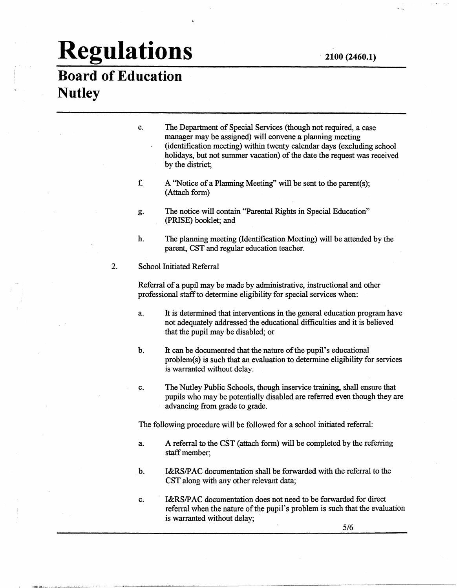#### **Board of Education Nutley**

- e. The Department of Special Services (though not required, a case manager may be assigned) will convene a planning meeting (identification meeting) within twenty calendar days (excluding school holidays, but not summer vacation) of the date the request was received by the district;
- f. A "Notice of a Planning Meeting" will be sent to the parent(s); (Attach form)
- g. The notice will contain "Parental Rights in Special Education" (PRISE) booklet; and
- h. The planning meeting (Identification Meeting) will be attended by the parent, CST and regular education teacher.
- 2. School Initiated Referral

Referral of a pupil may be made by administrative, instructional and other professional staff to determine eligibility for special services when:

- a. It is determined that interventions in the general education program have not adequately addressed the educational difficulties and it is believed that the pupil may be disabled; or
- b. It can be documented that the nature of the pupil's educational problem(s) is such that an evaluation to determine eligibility for services is warranted without delay.
- c. The Nutley Public Schools, though inservice training, shall ensure that pupils who may be potentially disabled are referred even though they are advancing from grade to grade.

The following procedure will be followed for a school initiated referral:

- a. A referral to the CST (attach form) will be completed by the referring staff member;
- b. I&RS/PAC documentation shall be forwarded with the referral to the CST along with any other relevant data;
- c. I&RS/PAC documentation does not need to be forwarded for direct referral when the nature of the pupil's problem is such that the evaluation is warranted without delay;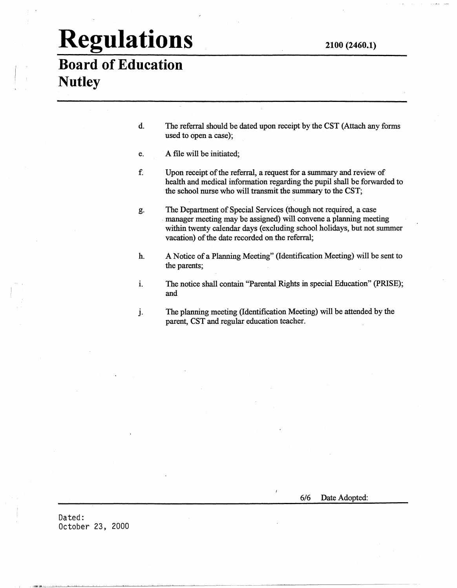#### **Board of Education Nutley**

- d. The referral should be dated upon receipt by the CST (Attach any forms used to open a case);
- e. A file will be initiated;
- f. Upon receipt of the referral, a request for a summary and review of health and medical information regarding the pupil shall be forwarded to the school nurse who will transmit the summary to the CST;
- g. The Department of Special Services (though not required, a case manager meeting may be assigned) will convene a planning meeting within twenty calendar days (excluding school holidays, but not summer vacation) of the date recorded on the referral;
- h. A Notice of a Planning Meeting" (Identification Meeting) will be sent to the parents;
- i. The notice shall contain "Parental Rights in special Education" (PRISE); and
- J. The planning meeting (Identification Meeting) will be attended by the parent, CST and regular education teacher.

-~--~------~~----------~

6/6 Date Adopted:

Dated: October 23, 2000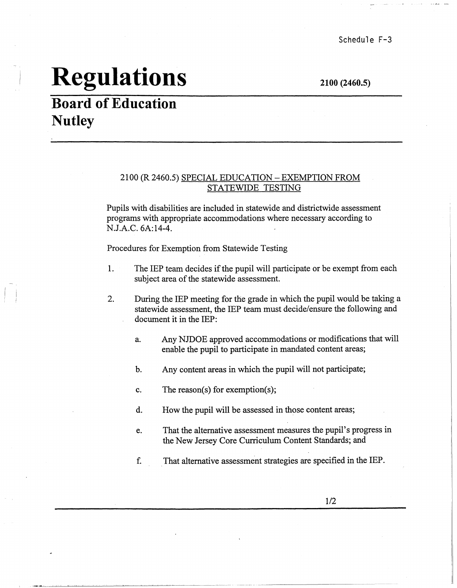**2100 (2460.5)** 

### **Board of Education Nutley**

#### 2100 (R 2460.5) SPECIAL EDUCATION -EXEMPTION FROM STATEWIDE TESTING

Pupils with disabilities are included in statewide and districtwide assessment programs with appropriate accommodations where necessary according to N.J.A.C. 6A:14-4.

Procedures for Exemption from Statewide Testing

- 1. The IEP team decides if the pupil will participate or be exempt from each subject area of the statewide assessment.
- 2. During the IEP meeting for the grade in which the pupil would be taking a statewide assessment, the IEP team must decide/ensure the following and document it in the IEP:
	- a; Any NJDOE approved accommodations or modifications that will enable the pupil to participate in mandated content areas;
	- b. Any content areas in which the pupil will not participate;
	- c. The reason(s) for exemption(s);
	- d. How the pupil will be assessed in those content areas;
	- e. That the alternative assessment measures the pupil's progress in the New Jersey Core Curriculum Content Standards; and
	- f. . That alternative assessment strategies are specified in the IEP.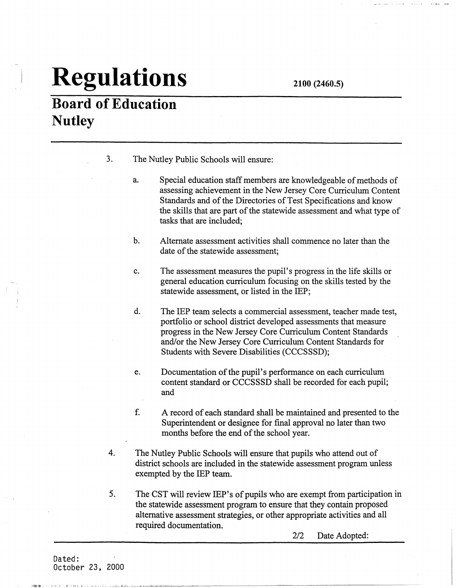**Board of Education Nutley** 

- 3. The Nutley Public Schools will ensure:
	- a. Special education staff members are knowledgeable of methods of assessing achievement in the New Jersey Core Curriculum Content Standards and of the Directories of Test Specifications and know the skills that are part of the statewide assessment and what type of tasks that are included;
	- b. Alternate assessment activities shall commence no later than the date of the statewide assessment;
	- c. The assessment measures the pupil's progress in the life skills or general education curriculum focusing on the skills tested by the statewide assessment, or listed in the IEP;
	- d. The IEP team selects a commercial assessment, teacher made test, portfolio or school district developed assessments that measure progress in the New Jersey Core Curriculum Content Standards and/or the New Jersey Core Curriculum Content Standards for Students with Severe Disabilities (CCCSSSD);
	- e. Documentation of the pupil's performance on each curriculum content standard or CCCSSSD shall be recorded for each pupil; and
	- f. A record of each standard shall be maintained and presented to the Superintendent or designee for final approval no later than two months before the end of the school year.
- 4. The Nutley Public Schools will ensure that pupils who attend out of district schools are included in the statewide assessment program unless exempted by the IEP team.
- 5. The CST will review IEP's of pupils who are exempt from participation in the statewide assessment program to ensure that they contain proposed alternative assessment strategies, or other appropriate activities and all required documentation.

2/2 Date Adopted: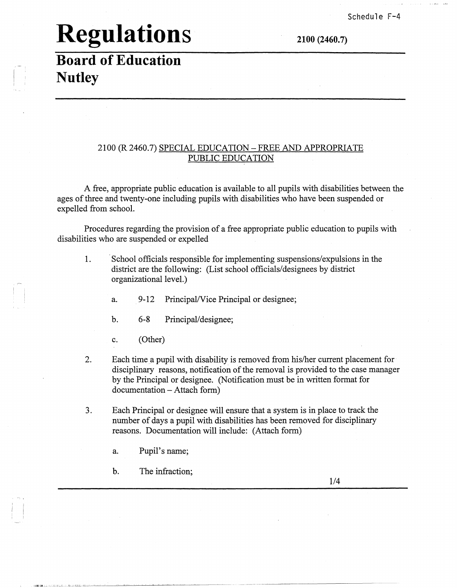### **Board of Education Nutley**

#### 2100 (R 2460.7) SPECIAL EDUCATION -FREE AND APPROPRIATE PUBLIC EDUCATION

A free, appropriate public education is available to all pupils with disabilities between the ages of three and twenty-one including pupils with disabilities who have been suspended or expelled from school.

Procedures regarding the provision of a free appropriate public education to pupils with disabilities who are suspended or expelled

- 1. School officials responsible for implementing suspensions/expulsions in the district are the following: (List school officials/designees by district organizational level.)
	- a. 9-12 Principal/Vice Principal or designee;
	- b. 6-8 Principal/designee;
	- c. (Other)
- 2. Each time a pupil with disability is removed from his/her current placement for disciplinary reasons, notification of the removal is provided to the case manager by the Principal or designee. (Notification must be in written format for documentation - Attach form)

-· ------·---~.~------------

- 3. Each Principal or designee will ensure that a system is in place to track the number of days a pupil with disabilities has been removed for disciplinary reasons. Documentation will include: (Attach form)
	- a. Pupil's name;
	- b. The infraction;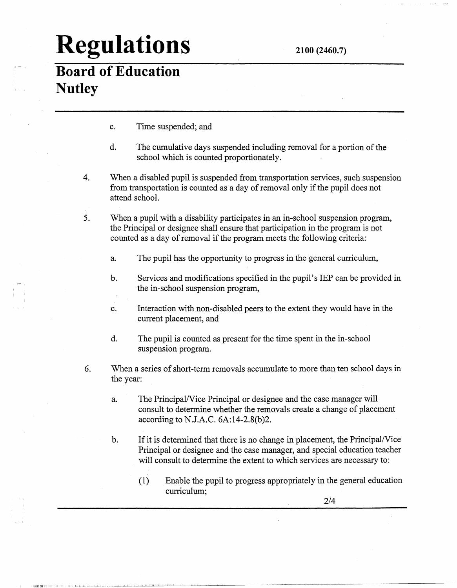### **Board of Education Nutley**

 $\cdots$ 

c. Time suspended; and

lowering it: Diagnets west and agged the police of the constraints of the constraints and the constraints of the constraints of the constraints of the constraints of the constraints of the constraints of the constraints of

- d. The cumulative days suspended including removal for a portion of the school which is counted proportionately.
- 4. When a disabled pupil is suspended from transportation services, such suspension from transportation is counted as a day of removal only if the pupil does not attend school.
- 5. When a pupil with a disability participates in an in-school suspension program, the Principal or designee shall ensure that participation in the program is not counted as a day of removal if the program meets the following criteria:
	- a. The pupil has the opportunity to progress in the general curriculum,
	- b. Services and modifications specified in the pupil's IEP can be provided in the in-school suspension program,
	- c. Interaction with non-disabled peers to the extent they would have in the current placement, and
	- d. The pupil is counted as present for the time spent in the in-school suspension program.
- 6. When a series of short-term removals accumulate to more than ten school days in the year:
	- a. The Principal/Vice Principal or designee and the case manager will consult to determine whether the removals create a change of placement according to N.J.A.C. 6A:14-2.8(b)2.
	- b. If it is determined that there is no change in placement, the Principal/Vice Principal or designee and the case manager, and special education teacher will consult to determine the extent to which services are necessary to:
		- (1) Enable the pupil to progress appropriately in the general education curriculum;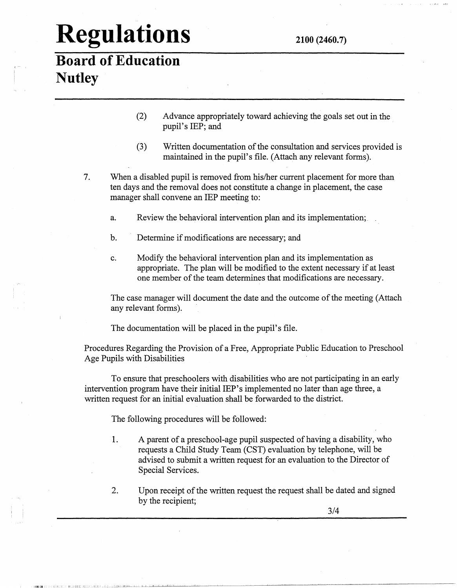#### **Board of Education Nutley**

- (2) Advance appropriately toward achieving the goals set out in the pupil's IEP; and
- (3) Written documentation of the consultation and services provided is maintained in the pupil's file. (Attach any relevant forms).
- 7. When a disabled pupil is removed from his/her current placement for more than ten days and the removal does not constitute a change in placement, the case manager shall convene an IEP meeting to:
	- a. Review the behavioral intervention plan and its implementation;.
	- b. Determine if modifications are necessary; and
	- c. Modify the behavioral intervention plan and its implementation as appropriate. The plan will be modified to the extent necessary if at least one member of the team determines that modifications are necessary.

The case manager will document the date and the outcome of the meeting (Attach any relevant forms).

The documentation will be placed in the pupil's file.

Procedures Regarding the Provision of a Free, Appropriate Public Education to Preschool Age Pupils with Disabilities

To ensure that preschoolers with disabilities who are not participating in an early intervention program have their initial IEP's implemented no later than age three, a written request for an initial evaluation shall be forwarded to the district.

The following procedures will be followed:

,1111J.ilil.com/processing the complete state of the complete state of the state of the state of the complete state of the complete state of the complete state of the complete state of the complete state of the complete st

- 1. A parent of a preschool-age pupil suspected of having a disability, who requests a Child Study Team (CST) evaluation by telephone, will be advised to submit a written request for an evaluation to the Director of Special Services.
- 2. Upon receipt of the written request the request shall be dated and signed by the recipient;